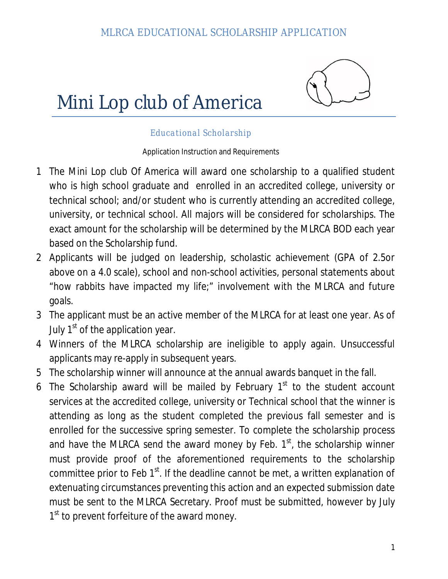



#### *Educational Scholarship*

Application Instruction and Requirements

- 1 The Mini Lop club Of America will award one scholarship to a qualified student who is high school graduate and enrolled in an accredited college, university or technical school; and/or student who is currently attending an accredited college, university, or technical school. All majors will be considered for scholarships. The exact amount for the scholarship will be determined by the MLRCA BOD each year based on the Scholarship fund.
- 2 Applicants will be judged on leadership, scholastic achievement (GPA of 2.5or above on a 4.0 scale), school and non-school activities, personal statements about "how rabbits have impacted my life;" involvement with the MLRCA and future goals.
- 3 The applicant must be an active member of the MLRCA for at least one year. As of July  $1<sup>st</sup>$  of the application year.
- 4 Winners of the MLRCA scholarship are ineligible to apply again. Unsuccessful applicants may re-apply in subsequent years.
- 5 The scholarship winner will announce at the annual awards banquet in the fall.
- 6 The Scholarship award will be mailed by February  $1<sup>st</sup>$  to the student account services at the accredited college, university or Technical school that the winner is attending as long as the student completed the previous fall semester and is enrolled for the successive spring semester. To complete the scholarship process and have the MLRCA send the award money by Feb.  $1<sup>st</sup>$ , the scholarship winner must provide proof of the aforementioned requirements to the scholarship committee prior to Feb  $1<sup>st</sup>$ . If the deadline cannot be met, a written explanation of extenuating circumstances preventing this action and an expected submission date must be sent to the MLRCA Secretary. Proof must be submitted, however by July 1<sup>st</sup> to prevent forfeiture of the award money.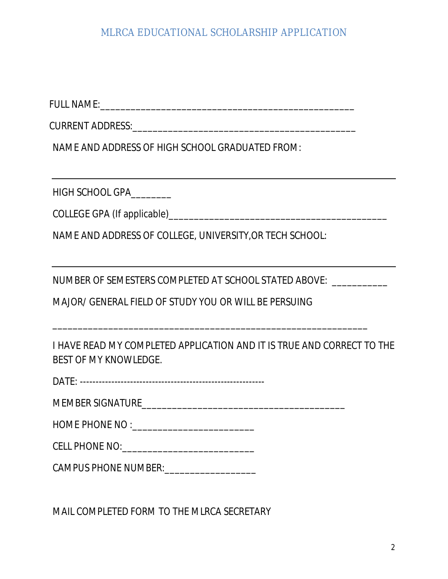FULL NAME:\_\_\_\_\_\_\_\_\_\_\_\_\_\_\_\_\_\_\_\_\_\_\_\_\_\_\_\_\_\_\_\_\_\_\_\_\_\_\_\_\_\_\_\_\_\_\_\_\_\_

CURRENT ADDRESS: with the contract of the contract of the contract of the contract of the contract of the contract of the contract of the contract of the contract of the contract of the contract of the contract of the cont

NAME AND ADDRESS OF HIGH SCHOOL GRADUATED FROM:

HIGH SCHOOL GPA\_\_\_\_\_\_\_\_

COLLEGE GPA (If applicable)\_\_\_\_\_\_\_\_\_\_\_\_\_\_\_\_\_\_\_\_\_\_\_\_\_\_\_\_\_\_\_\_\_\_\_\_\_\_\_\_\_\_\_

NAME AND ADDRESS OF COLLEGE, UNIVERSITY,OR TECH SCHOOL:

NUMBER OF SEMESTERS COMPLETED AT SCHOOL STATED ABOVE: \_\_\_\_\_\_\_\_\_\_\_

\_\_\_\_\_\_\_\_\_\_\_\_\_\_\_\_\_\_\_\_\_\_\_\_\_\_\_\_\_\_\_\_\_\_\_\_\_\_\_\_\_\_\_\_\_\_\_\_\_\_\_\_\_\_\_\_\_\_\_\_\_\_

MAJOR/ GENERAL FIELD OF STUDY YOU OR WILL BE PERSUING

I HAVE READ MY COMPLETED APPLICATION AND IT IS TRUE AND CORRECT TO THE BEST OF MY KNOWLEDGE.

DATE: -----------------------------------------------------------

MEMBER SIGNATURE\_\_\_\_\_\_\_\_\_\_\_\_\_\_\_\_\_\_\_\_\_\_\_\_\_\_\_\_\_\_\_\_\_\_\_\_\_\_\_\_

HOME PHONE NO :\_\_\_\_\_\_\_\_\_\_\_\_\_\_\_\_\_\_\_\_\_\_\_\_

CELL PHONE NO:\_\_\_\_\_\_\_\_\_\_\_\_\_\_\_\_\_\_\_\_\_\_\_\_\_\_

CAMPUS PHONE NUMBER:\_\_\_\_\_\_\_\_\_\_\_\_\_\_\_\_\_\_

MAIL COMPLETED FORM TO THE MLRCA SECRETARY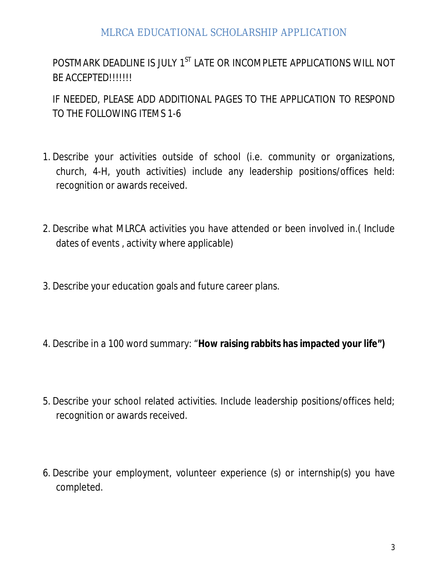POSTMARK DEADLINE IS JULY 1<sup>ST</sup> LATE OR INCOMPLETE APPLICATIONS WILL NOT BE ACCEPTED!!!!!!!

IF NEEDED, PLEASE ADD ADDITIONAL PAGES TO THE APPLICATION TO RESPOND TO THE FOLLOWING ITEMS 1-6

- 1. Describe your activities outside of school (i.e. community or organizations, church, 4-H, youth activities) include any leadership positions/offices held: recognition or awards received.
- 2. Describe what MLRCA activities you have attended or been involved in.( Include dates of events , activity where applicable)
- 3. Describe your education goals and future career plans.
- 4. Describe in a 100 word summary: "**How raising rabbits has impacted your life")**
- 5. Describe your school related activities. Include leadership positions/offices held; recognition or awards received.
- 6. Describe your employment, volunteer experience (s) or internship(s) you have completed.